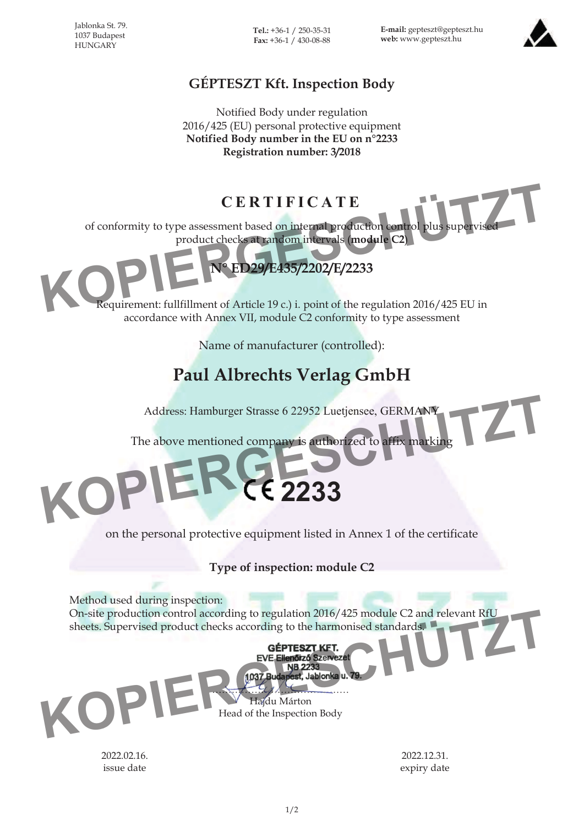Jablonka St. 79. 1037 Budapest **HUNGARY** 

**Tel.:** +36-1 / 250-35-31 **Fax:** +36-1 / 430-08-88

**E-mail:** gepteszt@gepteszt.hu **web:** www.gepteszt.hu



## **GÉPTESZT Kft. Inspection Body**

Notified Body under regulation 2016/425 (EU) personal protective equipment **Notified Body number in the EU on n°2233 Registration number: 3/2018**

**CERTIFICATE**

of conformity to type assessment based on internal production control plus supervised product checks at random intervals (**module C2**)



Requirement: fullfillment of Article 19 c.) i. point of the regulation 2016/425 EU in accordance with Annex VII, module C2 conformity to type assessment

Name of manufacturer (controlled):

## **Paul Albrechts Verlag GmbH**

Address: Hamburger Strasse 6 22952 Luetjensee, GERMANY

The above mentioned company is authorized to affix marking Address: Hamburger Strasse 6 22952 Luetjensee, GERMANY<br>The above mentioned company is authorized to affix marking<br>**ERGE2233** 

on the personal protective equipment listed in Annex 1 of the certificate

**2233**

**Type of inspection: module C2**

Method used during inspection:

On-site production control according to regulation 2016/425 module C2 and relevant RfU sheets. Supervised product checks according to the harmonised standards. On-site production control according to regulation 2016/425 module C2 and relevant RfU<br>
sheets. Supervised product checks according to the harmonised standards<br>
EVE Ellendor of Szervezet<br>
NB 2233<br>
Theydu Márton<br>
Head of th

…………………………………… Hajdu Márton Head of the Inspection Body

2022.02.16. issue date

2022.12.31. expiry date